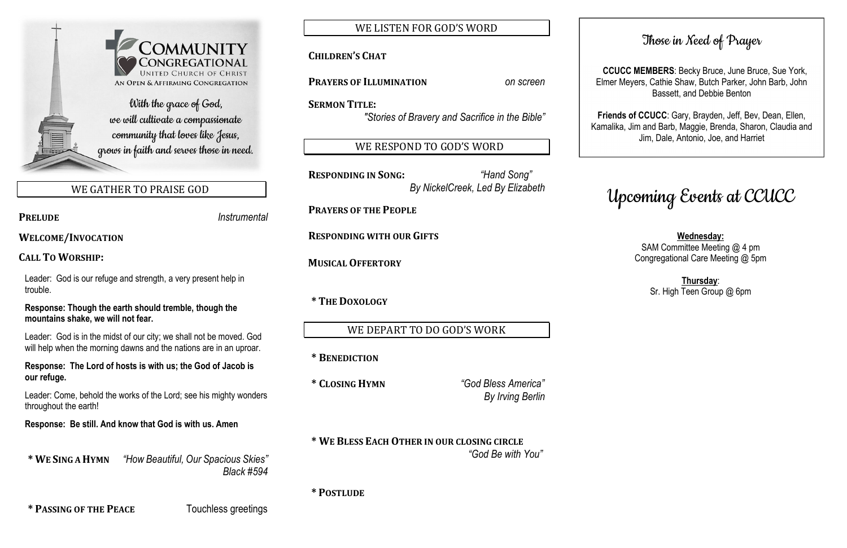## WE GATHER TO PRAISE GOD

**PRELUDE** *Instrumental*

**WELCOME/INVOCATION**

**CALL TO WORSHIP:**

Leader: God is our refuge and strength, a very present help in trouble.

Leader: God is in the midst of our city; we shall not be moved. God will help when the morning dawns and the nations are in an uproar.

**Response: Though the earth should tremble, though the mountains shake, we will not fear.**

**Response: The Lord of hosts is with us; the God of Jacob is our refuge.**

Leader: Come, behold the works of the Lord; see his mighty wonders throughout the earth!

**Response: Be still. And know that God is with us. Amen**

**\* WE SING A HYMN** *"How Beautiful, Our Spacious Skies" Black #594*

**\* PASSING OF THE PEACE** Touchless greetings

## WE LISTEN FOR GOD'S WORD

## **CHILDREN'S CHAT**

**PRAYERS OF ILLUMINATION** *on screen*

**SERMON TITLE:** *"Stories of Bravery and Sacrifice in the Bible"*

WE RESPOND TO GOD'S WORD

**RESPONDING IN SONG:** *"Hand Song" By NickelCreek, Led By Elizabeth*

**PRAYERS OF THE PEOPLE** 

**RESPONDING WITH OUR GIFTS**

 **MUSICAL OFFERTORY** 

**\* THE DOXOLOGY**

WE DEPART TO DO GOD'S WORK

**\* BENEDICTION**

**\* CLOSING HYMN** *"God Bless America" By Irving Berlin*

**\* WE BLESS EACH OTHER IN OUR CLOSING CIRCLE** *"God Be with You"*

**\* POSTLUDE**

## Upcoming Events at CCUCC

**Wednesday:** SAM Committee Meeting @ 4 pm Congregational Care Meeting @ 5pm

> **Thursday**: Sr. High Teen Group @ 6pm



With the grace of God, we will cultivate a compassionate community that loves like Jesus, grows in faith and serves those in need.

## Those in Need of Prayer

 **CCUCC MEMBERS**: Becky Bruce, June Bruce, Sue York, Elmer Meyers, Cathie Shaw, Butch Parker, John Barb, John Bassett, and Debbie Benton

**Friends of CCUCC**: Gary, Brayden, Jeff, Bev, Dean, Ellen, Kamalika, Jim and Barb, Maggie, Brenda, Sharon, Claudia and Jim, Dale, Antonio, Joe, and Harriet